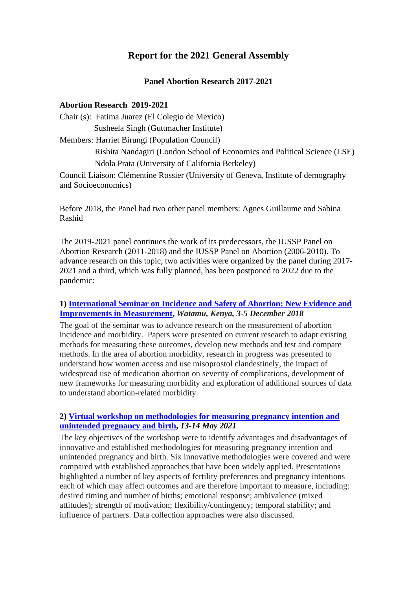# **Report for the 2021 General Assembly**

### **Panel Abortion Research 2017-2021**

#### **Abortion Research 2019-2021**

Chair (s): Fatima Juarez (El Colegio de Mexico) Susheela Singh (Guttmacher Institute) Members: Harriet Birungi (Population Council) Rishita Nandagiri (London School of Economics and Political Science (LSE) Ndola Prata (University of California Berkeley) Council Liaison: Clémentine Rossier (University of Geneva, Institute of demography and Socioeconomics)

Before 2018, the Panel had two other panel members: Agnes Guillaume and Sabina Rashid

The 2019-2021 panel continues the work of its predecessors, the IUSSP Panel on Abortion Research (2011-2018) and the IUSSP Panel on Abortion (2006-2010). To advance research on this topic, two activities were organized by the panel during 2017- 2021 and a third, which was fully planned, has been postponed to 2022 due to the pandemic:

### **1) [International](https://iussp.org/en/iussp-seminar-incidence-and-safety-abortion-watamu-december-2018) Seminar on Incidence and Safety of Abortion: New Evidence and [Improvements](https://iussp.org/en/iussp-seminar-incidence-and-safety-abortion-watamu-december-2018) in Measurement,** *Watamu, Kenya, 3-5 December 2018*

The goal of the seminar was to advance research on the measurement of abortion incidence and morbidity. Papers were presented on current research to adapt existing methods for measuring these outcomes, develop new methods and test and compare methods. In the area of abortion morbidity, research in progress was presented to understand how women access and use misoprostol clandestinely, the impact of widespread use of medication abortion on severity of complications, development of new frameworks for measuring morbidity and exploration of additional sources of data to understand abortion-related morbidity.

### **2) Virtual workshop on [methodologies](https://iussp.org/en/methodologies-measuring-pregnancy-intention) for measuring pregnancy intention and [unintended](https://iussp.org/en/methodologies-measuring-pregnancy-intention) pregnancy and birth,** *13-14 May 2021*

The key objectives of the workshop were to identify advantages and disadvantages of innovative and established methodologies for measuring pregnancy intention and unintended pregnancy and birth. Six innovative methodologies were covered and were compared with established approaches that have been widely applied. Presentations highlighted a number of key aspects of fertility preferences and pregnancy intentions each of which may affect outcomes and are therefore important to measure, including: desired timing and number of births; emotional response; ambivalence (mixed attitudes); strength of motivation; flexibility/contingency; temporal stability; and influence of partners. Data collection approaches were also discussed.